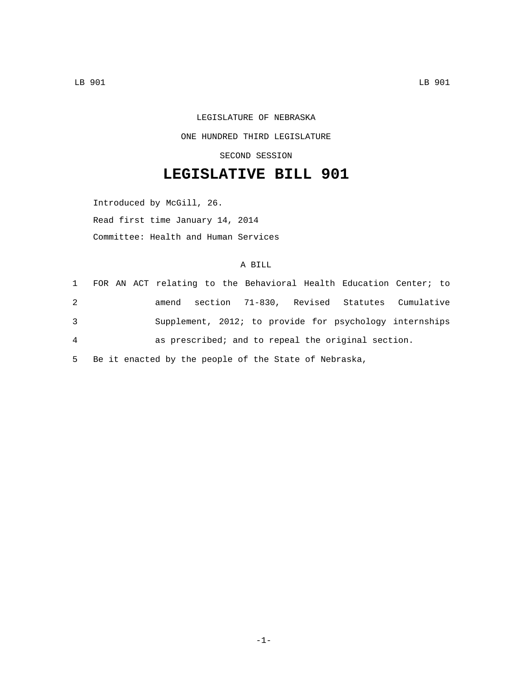LEGISLATURE OF NEBRASKA ONE HUNDRED THIRD LEGISLATURE SECOND SESSION

## **LEGISLATIVE BILL 901**

Introduced by McGill, 26. Read first time January 14, 2014 Committee: Health and Human Services

## A BILL

|                |  |  |  |  | 1 FOR AN ACT relating to the Behavioral Health Education Center; to |  |
|----------------|--|--|--|--|---------------------------------------------------------------------|--|
| 2              |  |  |  |  | amend section 71-830, Revised Statutes Cumulative                   |  |
| 3              |  |  |  |  | Supplement, 2012; to provide for psychology internships             |  |
| $\overline{4}$ |  |  |  |  | as prescribed; and to repeal the original section.                  |  |
|                |  |  |  |  |                                                                     |  |

5 Be it enacted by the people of the State of Nebraska,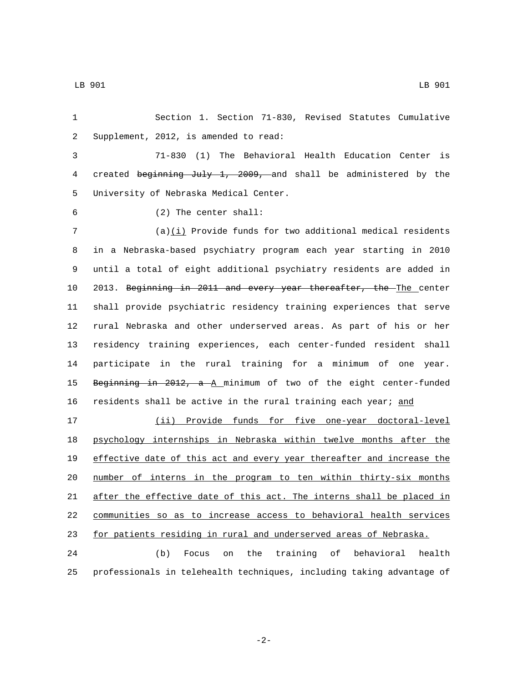Section 1. Section 71-830, Revised Statutes Cumulative 2 Supplement, 2012, is amended to read:

 71-830 (1) The Behavioral Health Education Center is created beginning July 1, 2009, and shall be administered by the 5 University of Nebraska Medical Center.

- 
- (2) The center shall:6

 (a)(i) Provide funds for two additional medical residents in a Nebraska-based psychiatry program each year starting in 2010 until a total of eight additional psychiatry residents are added in 2013. Beginning in 2011 and every year thereafter, the The center shall provide psychiatric residency training experiences that serve rural Nebraska and other underserved areas. As part of his or her residency training experiences, each center-funded resident shall participate in the rural training for a minimum of one year. 15 Beginning in 2012, a A minimum of two of the eight center-funded

 (ii) Provide funds for five one-year doctoral-level psychology internships in Nebraska within twelve months after the effective date of this act and every year thereafter and increase the number of interns in the program to ten within thirty-six months after the effective date of this act. The interns shall be placed in communities so as to increase access to behavioral health services for patients residing in rural and underserved areas of Nebraska.

16 residents shall be active in the rural training each year; and

 (b) Focus on the training of behavioral health professionals in telehealth techniques, including taking advantage of

-2-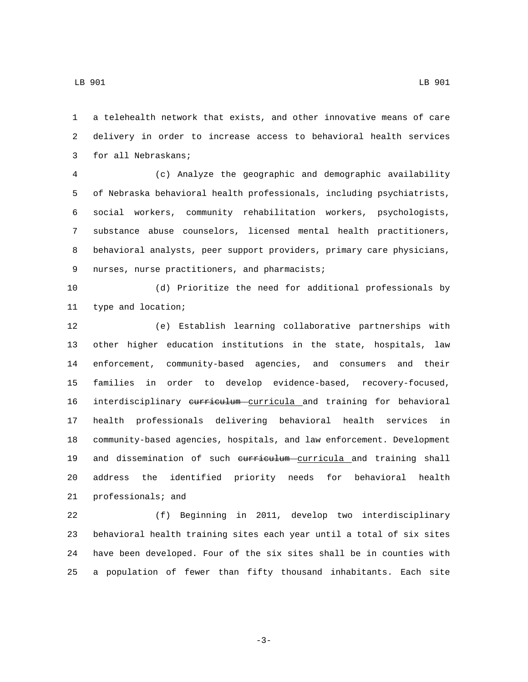a telehealth network that exists, and other innovative means of care delivery in order to increase access to behavioral health services 3 for all Nebraskans;

 (c) Analyze the geographic and demographic availability of Nebraska behavioral health professionals, including psychiatrists, social workers, community rehabilitation workers, psychologists, substance abuse counselors, licensed mental health practitioners, behavioral analysts, peer support providers, primary care physicians, 9 nurses, nurse practitioners, and pharmacists;

 (d) Prioritize the need for additional professionals by 11 type and location;

 (e) Establish learning collaborative partnerships with other higher education institutions in the state, hospitals, law enforcement, community-based agencies, and consumers and their families in order to develop evidence-based, recovery-focused, 16 interdisciplinary curriculum curricula and training for behavioral health professionals delivering behavioral health services in community-based agencies, hospitals, and law enforcement. Development 19 and dissemination of such eurriculum curricula and training shall address the identified priority needs for behavioral health professionals; and

 (f) Beginning in 2011, develop two interdisciplinary behavioral health training sites each year until a total of six sites have been developed. Four of the six sites shall be in counties with a population of fewer than fifty thousand inhabitants. Each site

-3-